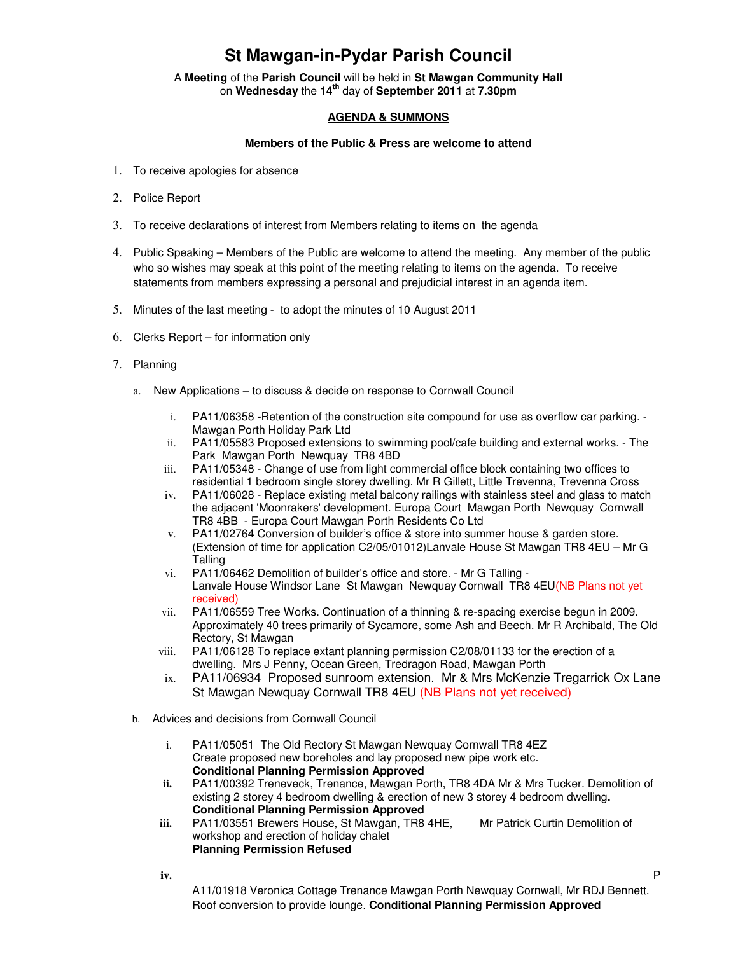## **St Mawgan-in-Pydar Parish Council**

A **Meeting** of the **Parish Council** will be held in **St Mawgan Community Hall** on **Wednesday** the **14th** day of **September 2011** at **7.30pm** 

## **AGENDA & SUMMONS**

## **Members of the Public & Press are welcome to attend**

- 1. To receive apologies for absence
- 2. Police Report
- 3. To receive declarations of interest from Members relating to items on the agenda
- 4. Public Speaking Members of the Public are welcome to attend the meeting. Any member of the public who so wishes may speak at this point of the meeting relating to items on the agenda. To receive statements from members expressing a personal and prejudicial interest in an agenda item.
- 5. Minutes of the last meeting to adopt the minutes of 10 August 2011
- 6. Clerks Report for information only
- 7. Planning
	- a. New Applications to discuss & decide on response to Cornwall Council
		- i. PA11/06358 **-**Retention of the construction site compound for use as overflow car parking. Mawgan Porth Holiday Park Ltd
		- ii. PA11/05583 Proposed extensions to swimming pool/cafe building and external works. The Park Mawgan Porth Newquay TR8 4BD
		- iii. PA11/05348 Change of use from light commercial office block containing two offices to residential 1 bedroom single storey dwelling. Mr R Gillett, Little Trevenna, Trevenna Cross
		- iv. PA11/06028 Replace existing metal balcony railings with stainless steel and glass to match the adjacent 'Moonrakers' development. Europa Court Mawgan Porth Newquay Cornwall TR8 4BB - Europa Court Mawgan Porth Residents Co Ltd
		- v. PA11/02764 Conversion of builder's office & store into summer house & garden store. (Extension of time for application C2/05/01012)Lanvale House St Mawgan TR8 4EU – Mr G Talling
		- vi. PA11/06462 Demolition of builder's office and store. Mr G Talling Lanvale House Windsor Lane St Mawgan Newquay Cornwall TR8 4EU(NB Plans not yet received)
		- vii. PA11/06559 Tree Works. Continuation of a thinning & re-spacing exercise begun in 2009. Approximately 40 trees primarily of Sycamore, some Ash and Beech. Mr R Archibald, The Old Rectory, St Mawgan
		- viii. PA11/06128 To replace extant planning permission C2/08/01133 for the erection of a dwelling. Mrs J Penny, Ocean Green, Tredragon Road, Mawgan Porth
		- ix. PA11/06934 Proposed sunroom extension. Mr & Mrs McKenzie Tregarrick Ox Lane St Mawgan Newquay Cornwall TR8 4EU (NB Plans not yet received)
	- b. Advices and decisions from Cornwall Council
		- i. PA11/05051 The Old Rectory St Mawgan Newquay Cornwall TR8 4EZ Create proposed new boreholes and lay proposed new pipe work etc. **Conditional Planning Permission Approved**
		- **ii.** PA11/00392 Treneveck, Trenance, Mawgan Porth, TR8 4DA Mr & Mrs Tucker. Demolition of existing 2 storey 4 bedroom dwelling & erection of new 3 storey 4 bedroom dwelling**. Conditional Planning Permission Approved**
		- **iii.** PA11/03551 Brewers House, St Mawgan, TR8 4HE, Mr Patrick Curtin Demolition of workshop and erection of holiday chalet **Planning Permission Refused**

**iv.** P

A11/01918 Veronica Cottage Trenance Mawgan Porth Newquay Cornwall, Mr RDJ Bennett. Roof conversion to provide lounge. **Conditional Planning Permission Approved**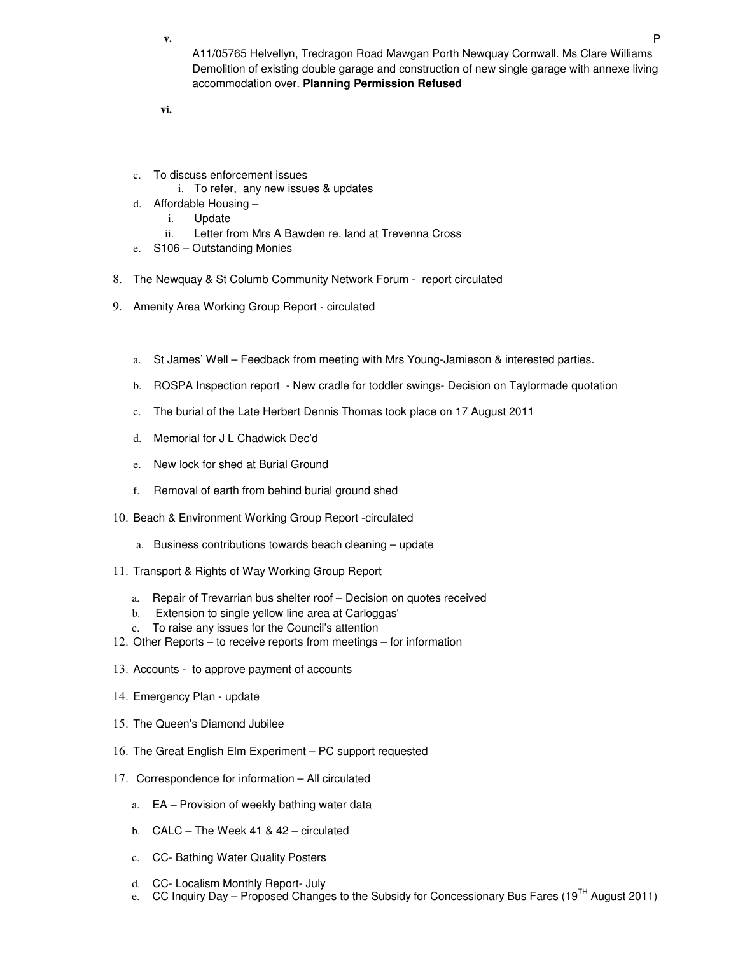**v.** P

A11/05765 Helvellyn, Tredragon Road Mawgan Porth Newquay Cornwall. Ms Clare Williams Demolition of existing double garage and construction of new single garage with annexe living accommodation over. **Planning Permission Refused** 

**vi.** 

- c. To discuss enforcement issues
	- i. To refer, any new issues & updates
- d. Affordable Housing
	- i. Update
	- ii. Letter from Mrs A Bawden re. land at Trevenna Cross
- e. S106 Outstanding Monies
- 8. The Newquay & St Columb Community Network Forum report circulated
- 9. Amenity Area Working Group Report circulated
	- a. St James' Well Feedback from meeting with Mrs Young-Jamieson & interested parties.
	- b. ROSPA Inspection report New cradle for toddler swings- Decision on Taylormade quotation
	- c. The burial of the Late Herbert Dennis Thomas took place on 17 August 2011
	- d. Memorial for J L Chadwick Dec'd
	- e. New lock for shed at Burial Ground
	- f. Removal of earth from behind burial ground shed
- 10. Beach & Environment Working Group Report -circulated
	- a. Business contributions towards beach cleaning update
- 11. Transport & Rights of Way Working Group Report
	- a. Repair of Trevarrian bus shelter roof Decision on quotes received
	- b. Extension to single yellow line area at Carloggas'
	- c. To raise any issues for the Council's attention
- 12. Other Reports to receive reports from meetings for information
- 13. Accounts to approve payment of accounts
- 14. Emergency Plan update
- 15. The Queen's Diamond Jubilee
- 16. The Great English Elm Experiment PC support requested
- 17. Correspondence for information All circulated
	- a. EA Provision of weekly bathing water data
	- b. CALC The Week 41 & 42 circulated
	- c. CC- Bathing Water Quality Posters
	- d. CC- Localism Monthly Report- July
	- e. CC Inquiry Day Proposed Changes to the Subsidy for Concessionary Bus Fares (19<sup>TH</sup> August 2011)